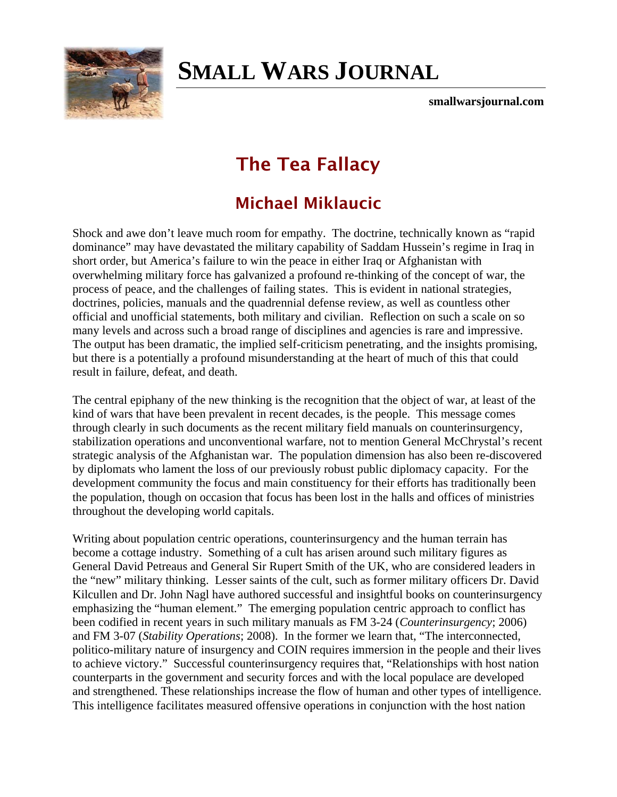

## **[SMALL WARS JOURNAL](http://smallwarsjournal.com/)**

**smallwarsjournal.com**

## **The Tea Fallacy**

## **Michael Miklaucic**

Shock and awe don't leave much room for empathy. The doctrine, technically known as "rapid dominance" may have devastated the military capability of Saddam Hussein's regime in Iraq in short order, but America's failure to win the peace in either Iraq or Afghanistan with overwhelming military force has galvanized a profound re-thinking of the concept of war, the process of peace, and the challenges of failing states. This is evident in national strategies, doctrines, policies, manuals and the quadrennial defense review, as well as countless other official and unofficial statements, both military and civilian. Reflection on such a scale on so many levels and across such a broad range of disciplines and agencies is rare and impressive. The output has been dramatic, the implied self-criticism penetrating, and the insights promising, but there is a potentially a profound misunderstanding at the heart of much of this that could result in failure, defeat, and death.

The central epiphany of the new thinking is the recognition that the object of war, at least of the kind of wars that have been prevalent in recent decades, is the people. This message comes through clearly in such documents as the recent military field manuals on counterinsurgency, stabilization operations and unconventional warfare, not to mention General McChrystal's recent strategic analysis of the Afghanistan war. The population dimension has also been re-discovered by diplomats who lament the loss of our previously robust public diplomacy capacity. For the development community the focus and main constituency for their efforts has traditionally been the population, though on occasion that focus has been lost in the halls and offices of ministries throughout the developing world capitals.

Writing about population centric operations, counterinsurgency and the human terrain has become a cottage industry. Something of a cult has arisen around such military figures as General David Petreaus and General Sir Rupert Smith of the UK, who are considered leaders in the "new" military thinking. Lesser saints of the cult, such as former military officers Dr. David Kilcullen and Dr. John Nagl have authored successful and insightful books on counterinsurgency emphasizing the "human element." The emerging population centric approach to conflict has been codified in recent years in such military manuals as FM 3-24 (*Counterinsurgency*; 2006) and FM 3-07 (*Stability Operations*; 2008). In the former we learn that, "The interconnected, politico-military nature of insurgency and COIN requires immersion in the people and their lives to achieve victory." Successful counterinsurgency requires that, "Relationships with host nation counterparts in the government and security forces and with the local populace are developed and strengthened. These relationships increase the flow of human and other types of intelligence. This intelligence facilitates measured offensive operations in conjunction with the host nation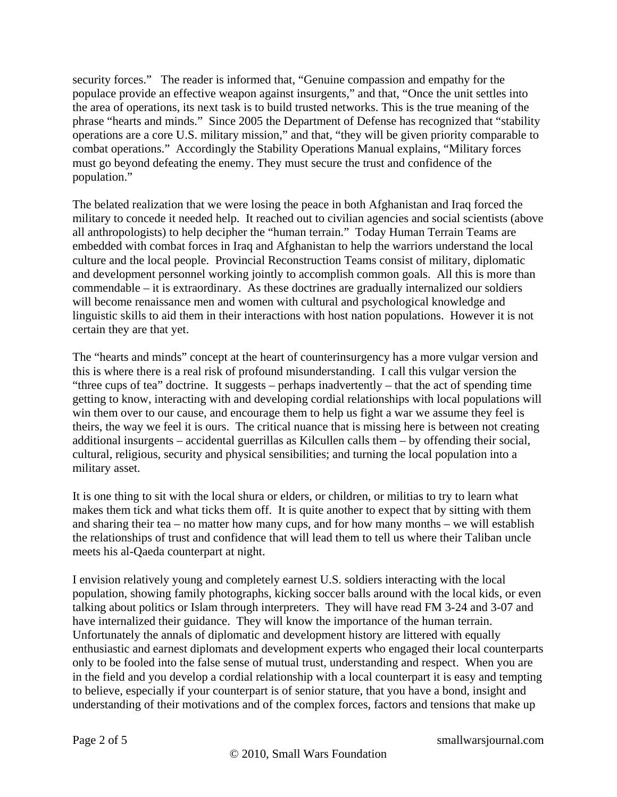security forces." The reader is informed that, "Genuine compassion and empathy for the populace provide an effective weapon against insurgents," and that, "Once the unit settles into the area of operations, its next task is to build trusted networks. This is the true meaning of the phrase "hearts and minds." Since 2005 the Department of Defense has recognized that "stability operations are a core U.S. military mission," and that, "they will be given priority comparable to combat operations." Accordingly the Stability Operations Manual explains, "Military forces must go beyond defeating the enemy. They must secure the trust and confidence of the population."

The belated realization that we were losing the peace in both Afghanistan and Iraq forced the military to concede it needed help. It reached out to civilian agencies and social scientists (above all anthropologists) to help decipher the "human terrain." Today Human Terrain Teams are embedded with combat forces in Iraq and Afghanistan to help the warriors understand the local culture and the local people. Provincial Reconstruction Teams consist of military, diplomatic and development personnel working jointly to accomplish common goals. All this is more than commendable – it is extraordinary. As these doctrines are gradually internalized our soldiers will become renaissance men and women with cultural and psychological knowledge and linguistic skills to aid them in their interactions with host nation populations. However it is not certain they are that yet.

The "hearts and minds" concept at the heart of counterinsurgency has a more vulgar version and this is where there is a real risk of profound misunderstanding. I call this vulgar version the "three cups of tea" doctrine. It suggests – perhaps inadvertently – that the act of spending time getting to know, interacting with and developing cordial relationships with local populations will win them over to our cause, and encourage them to help us fight a war we assume they feel is theirs, the way we feel it is ours. The critical nuance that is missing here is between not creating additional insurgents – accidental guerrillas as Kilcullen calls them – by offending their social, cultural, religious, security and physical sensibilities; and turning the local population into a military asset.

It is one thing to sit with the local shura or elders, or children, or militias to try to learn what makes them tick and what ticks them off. It is quite another to expect that by sitting with them and sharing their tea – no matter how many cups, and for how many months – we will establish the relationships of trust and confidence that will lead them to tell us where their Taliban uncle meets his al-Qaeda counterpart at night.

I envision relatively young and completely earnest U.S. soldiers interacting with the local population, showing family photographs, kicking soccer balls around with the local kids, or even talking about politics or Islam through interpreters. They will have read FM 3-24 and 3-07 and have internalized their guidance. They will know the importance of the human terrain. Unfortunately the annals of diplomatic and development history are littered with equally enthusiastic and earnest diplomats and development experts who engaged their local counterparts only to be fooled into the false sense of mutual trust, understanding and respect. When you are in the field and you develop a cordial relationship with a local counterpart it is easy and tempting to believe, especially if your counterpart is of senior stature, that you have a bond, insight and understanding of their motivations and of the complex forces, factors and tensions that make up

Page 2 of 5 smallwarsjournal.com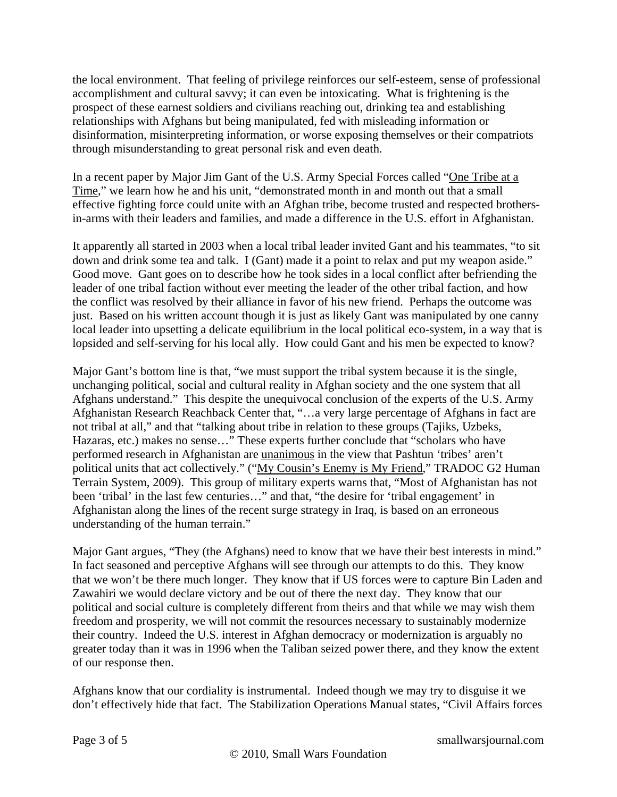the local environment. That feeling of privilege reinforces our self-esteem, sense of professional accomplishment and cultural savvy; it can even be intoxicating. What is frightening is the prospect of these earnest soldiers and civilians reaching out, drinking tea and establishing relationships with Afghans but being manipulated, fed with misleading information or disinformation, misinterpreting information, or worse exposing themselves or their compatriots through misunderstanding to great personal risk and even death.

In a recent paper by Major Jim Gant of the U.S. Army Special Forces called "[One Tribe at a](http://blog.stevenpressfield.com/wp-content/themes/stevenpressfield/one_tribe_at_a_time_ed2.pdf)  [Time](http://blog.stevenpressfield.com/wp-content/themes/stevenpressfield/one_tribe_at_a_time_ed2.pdf)," we learn how he and his unit, "demonstrated month in and month out that a small effective fighting force could unite with an Afghan tribe, become trusted and respected brothersin-arms with their leaders and families, and made a difference in the U.S. effort in Afghanistan.

It apparently all started in 2003 when a local tribal leader invited Gant and his teammates, "to sit down and drink some tea and talk. I (Gant) made it a point to relax and put my weapon aside." Good move. Gant goes on to describe how he took sides in a local conflict after befriending the leader of one tribal faction without ever meeting the leader of the other tribal faction, and how the conflict was resolved by their alliance in favor of his new friend. Perhaps the outcome was just. Based on his written account though it is just as likely Gant was manipulated by one canny local leader into upsetting a delicate equilibrium in the local political eco-system, in a way that is lopsided and self-serving for his local ally. How could Gant and his men be expected to know?

Major Gant's bottom line is that, "we must support the tribal system because it is the single, unchanging political, social and cultural reality in Afghan society and the one system that all Afghans understand." This despite the unequivocal conclusion of the experts of the U.S. Army Afghanistan Research Reachback Center that, "…a very large percentage of Afghans in fact are not tribal at all," and that "talking about tribe in relation to these groups (Tajiks, Uzbeks, Hazaras, etc.) makes no sense…" These experts further conclude that "scholars who have performed research in Afghanistan are unanimous in the view that Pashtun 'tribes' aren't political units that act collectively." (["My Cousin's Enemy is My Friend,](http://www.scribd.com/doc/19595786/My-Cousins-Enemy-is-My-Friend-A-Study-of-Pashtun-Tribes-)" TRADOC G2 Human Terrain System, 2009). This group of military experts warns that, "Most of Afghanistan has not been 'tribal' in the last few centuries…" and that, "the desire for 'tribal engagement' in Afghanistan along the lines of the recent surge strategy in Iraq, is based on an erroneous understanding of the human terrain."

Major Gant argues, "They (the Afghans) need to know that we have their best interests in mind." In fact seasoned and perceptive Afghans will see through our attempts to do this. They know that we won't be there much longer. They know that if US forces were to capture Bin Laden and Zawahiri we would declare victory and be out of there the next day. They know that our political and social culture is completely different from theirs and that while we may wish them freedom and prosperity, we will not commit the resources necessary to sustainably modernize their country. Indeed the U.S. interest in Afghan democracy or modernization is arguably no greater today than it was in 1996 when the Taliban seized power there, and they know the extent of our response then.

Afghans know that our cordiality is instrumental. Indeed though we may try to disguise it we don't effectively hide that fact. The Stabilization Operations Manual states, "Civil Affairs forces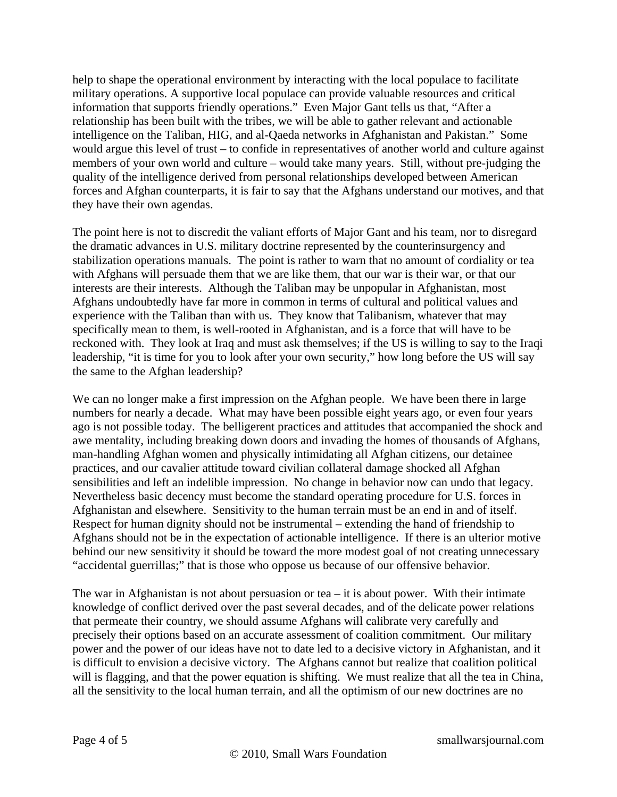help to shape the operational environment by interacting with the local populace to facilitate military operations. A supportive local populace can provide valuable resources and critical information that supports friendly operations." Even Major Gant tells us that, "After a relationship has been built with the tribes, we will be able to gather relevant and actionable intelligence on the Taliban, HIG, and al-Qaeda networks in Afghanistan and Pakistan." Some would argue this level of trust – to confide in representatives of another world and culture against members of your own world and culture – would take many years. Still, without pre-judging the quality of the intelligence derived from personal relationships developed between American forces and Afghan counterparts, it is fair to say that the Afghans understand our motives, and that they have their own agendas.

The point here is not to discredit the valiant efforts of Major Gant and his team, nor to disregard the dramatic advances in U.S. military doctrine represented by the counterinsurgency and stabilization operations manuals. The point is rather to warn that no amount of cordiality or tea with Afghans will persuade them that we are like them, that our war is their war, or that our interests are their interests. Although the Taliban may be unpopular in Afghanistan, most Afghans undoubtedly have far more in common in terms of cultural and political values and experience with the Taliban than with us. They know that Talibanism, whatever that may specifically mean to them, is well-rooted in Afghanistan, and is a force that will have to be reckoned with. They look at Iraq and must ask themselves; if the US is willing to say to the Iraqi leadership, "it is time for you to look after your own security," how long before the US will say the same to the Afghan leadership?

We can no longer make a first impression on the Afghan people. We have been there in large numbers for nearly a decade. What may have been possible eight years ago, or even four years ago is not possible today. The belligerent practices and attitudes that accompanied the shock and awe mentality, including breaking down doors and invading the homes of thousands of Afghans, man-handling Afghan women and physically intimidating all Afghan citizens, our detainee practices, and our cavalier attitude toward civilian collateral damage shocked all Afghan sensibilities and left an indelible impression. No change in behavior now can undo that legacy. Nevertheless basic decency must become the standard operating procedure for U.S. forces in Afghanistan and elsewhere. Sensitivity to the human terrain must be an end in and of itself. Respect for human dignity should not be instrumental – extending the hand of friendship to Afghans should not be in the expectation of actionable intelligence. If there is an ulterior motive behind our new sensitivity it should be toward the more modest goal of not creating unnecessary "accidental guerrillas;" that is those who oppose us because of our offensive behavior.

The war in Afghanistan is not about persuasion or tea  $-$  it is about power. With their intimate knowledge of conflict derived over the past several decades, and of the delicate power relations that permeate their country, we should assume Afghans will calibrate very carefully and precisely their options based on an accurate assessment of coalition commitment. Our military power and the power of our ideas have not to date led to a decisive victory in Afghanistan, and it is difficult to envision a decisive victory. The Afghans cannot but realize that coalition political will is flagging, and that the power equation is shifting. We must realize that all the tea in China, all the sensitivity to the local human terrain, and all the optimism of our new doctrines are no

Page 4 of 5 smallwarsjournal.com